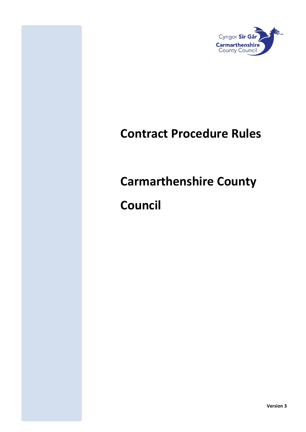

## **Contract Procedure Rules**

# **Carmarthenshire County**

## **Council**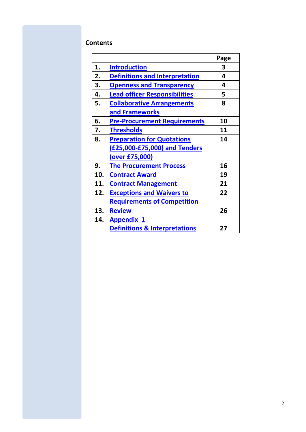## **Contents**

|     |                                          | Page |
|-----|------------------------------------------|------|
| 1.  | <b>Introduction</b>                      | 3    |
| 2.  | <b>Definitions and Interpretation</b>    | 4    |
| 3.  | <b>Openness and Transparency</b>         | 4    |
| 4.  | <b>Lead officer Responsibilities</b>     | 5    |
| 5.  | <b>Collaborative Arrangements</b>        | 8    |
|     | and Frameworks                           |      |
| 6.  | <b>Pre-Procurement Requirements</b>      | 10   |
| 7.  | <b>Thresholds</b>                        | 11   |
| 8.  | <b>Preparation for Quotations</b>        | 14   |
|     | (£25,000-£75,000) and Tenders            |      |
|     | (over £75,000)                           |      |
| 9.  | <b>The Procurement Process</b>           | 16   |
| 10. | <b>Contract Award</b>                    | 19   |
| 11. | <b>Contract Management</b>               | 21   |
| 12. | <b>Exceptions and Waivers to</b>         | 22   |
|     | <b>Requirements of Competition</b>       |      |
| 13. | <b>Review</b>                            | 26   |
| 14. | <b>Appendix 1</b>                        |      |
|     | <b>Definitions &amp; Interpretations</b> | 27   |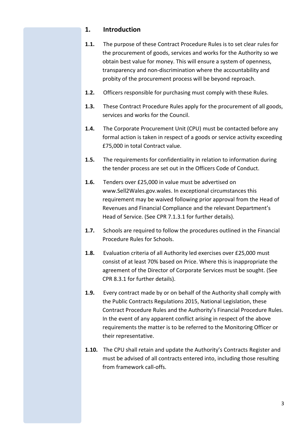## **1. Introduction**

- <span id="page-2-0"></span>**1.1.** The purpose of these Contract Procedure Rules is to set clear rules for the procurement of goods, services and works for the Authority so we obtain best value for money. This will ensure a system of openness, transparency and non-discrimination where the accountability and probity of the procurement process will be beyond reproach.
- **1.2.** Officers responsible for purchasing must comply with these Rules.
- **1.3.** These Contract Procedure Rules apply for the procurement of all goods, services and works for the Council.
- **1.4.** The Corporate Procurement Unit (CPU) must be contacted before any formal action is taken in respect of a goods or service activity exceeding £75,000 in total Contract value.
- **1.5.** The requirements for confidentiality in relation to information during the tender process are set out in the Officers Code of Conduct.
- **1.6.** Tenders over £25,000 in value must be advertised on [www.Sell2Wales.gov.wales.](http://www.sell2wales.gov.wales/) In exceptional circumstances this requirement may be waived following prior approval from the Head of Revenues and Financial Compliance and the relevant Department's Head of Service. (See CPR 7.1.3.1 for further details).
- **1.7.** Schools are required to follow the procedures outlined in the Financial Procedure Rules for Schools.
- **1.8.** Evaluation criteria of all Authority led exercises over £25,000 must consist of at least 70% based on Price. Where this is inappropriate the agreement of the Director of Corporate Services must be sought. (See CPR 8.3.1 for further details).
- **1.9.** Every contract made by or on behalf of the Authority shall comply with the Public Contracts Regulations 2015, National Legislation, these Contract Procedure Rules and the Authority's Financial Procedure Rules. In the event of any apparent conflict arising in respect of the above requirements the matter is to be referred to the Monitoring Officer or their representative.
- **1.10.** The CPU shall retain and update the Authority's Contracts Register and must be advised of all contracts entered into, including those resulting from framework call-offs.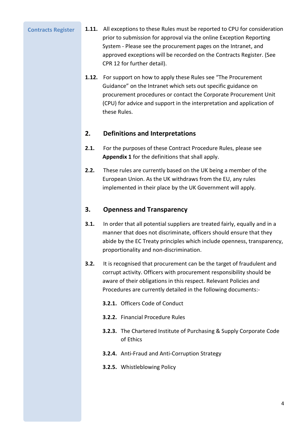#### **1.11.** All exceptions to these Rules must be reported to CPU for consideration prior to submission for approval via the online Exception Reporting System - Please see the procurement pages on the Intranet, and approved exceptions will be recorded on the Contracts Register. (See CPR 12 for further detail). **Contracts Register**

**1.12.** For support on how to apply these Rules see "The Procurement Guidance" on the Intranet which sets out specific guidance on procurement procedures or contact the Corporate Procurement Unit (CPU) for advice and support in the interpretation and application of these Rules.

## <span id="page-3-0"></span>**2. Definitions and Interpretations**

- **2.1.** For the purposes of these Contract Procedure Rules, please see **Appendix 1** for the definitions that shall apply.
- **2.2.** These rules are currently based on the UK being a member of the European Union. As the UK withdraws from the EU, any rules implemented in their place by the UK Government will apply.

## <span id="page-3-1"></span>**3. Openness and Transparency**

- **3.1.** In order that all potential suppliers are treated fairly, equally and in a manner that does not discriminate, officers should ensure that they abide by the EC Treaty principles which include openness, transparency, proportionality and non-discrimination.
- **3.2.** It is recognised that procurement can be the target of fraudulent and corrupt activity. Officers with procurement responsibility should be aware of their obligations in this respect. Relevant Policies and Procedures are currently detailed in the following documents:-
	- **3.2.1.** Officers Code of Conduct
	- **3.2.2.** Financial Procedure Rules
	- **3.2.3.** The Chartered Institute of Purchasing & Supply Corporate Code of Ethics
	- **3.2.4.** Anti-Fraud and Anti-Corruption Strategy
	- **3.2.5.** Whistleblowing Policy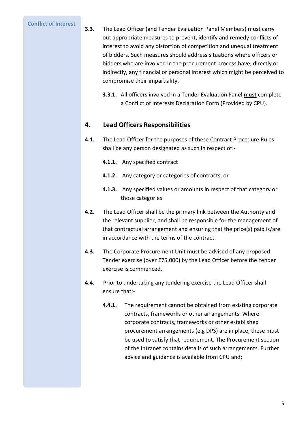#### **Conflict of Interest**

- **3.3.** The Lead Officer (and Tender Evaluation Panel Members) must carry out appropriate measures to prevent, identify and remedy conflicts of interest to avoid any distortion of competition and unequal treatment of bidders. Such measures should address situations where officers or bidders who are involved in the procurement process have, directly or indirectly, any financial or personal interest which might be perceived to compromise their impartiality.
	- **3.3.1.** All officers involved in a Tender Evaluation Panel must complete a Conflict of Interests Declaration Form (Provided by CPU).

#### <span id="page-4-0"></span>**4. Lead Officers Responsibilities**

- **4.1.** The Lead Officer for the purposes of these Contract Procedure Rules shall be any person designated as such in respect of:-
	- **4.1.1.** Any specified contract
	- **4.1.2.** Any category or categories of contracts, or
	- **4.1.3.** Any specified values or amounts in respect of that category or those categories
- **4.2.** The Lead Officer shall be the primary link between the Authority and the relevant supplier, and shall be responsible for the management of that contractual arrangement and ensuring that the price(s) paid is/are in accordance with the terms of the contract.
- **4.3.** The Corporate Procurement Unit must be advised of any proposed Tender exercise (over £75,000) by the Lead Officer before the tender exercise is commenced.
- **4.4.** Prior to undertaking any tendering exercise the Lead Officer shall ensure that:-
	- **4.4.1.** The requirement cannot be obtained from existing corporate contracts, frameworks or other arrangements. Where corporate contracts, frameworks or other established procurement arrangements (e.g DPS) are in place, these must be used to satisfy that requirement. The Procurement section of the Intranet contains details of such arrangements. Further advice and guidance is available from CPU and;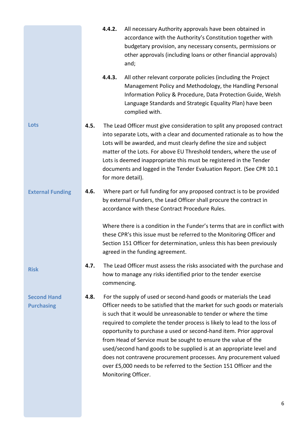|                                         |      | 4.4.2.      | All necessary Authority approvals have been obtained in<br>accordance with the Authority's Constitution together with<br>budgetary provision, any necessary consents, permissions or<br>other approvals (including loans or other financial approvals)<br>and;                                                                                                                                                                                                                                                                                                                                                                                                                     |   |
|-----------------------------------------|------|-------------|------------------------------------------------------------------------------------------------------------------------------------------------------------------------------------------------------------------------------------------------------------------------------------------------------------------------------------------------------------------------------------------------------------------------------------------------------------------------------------------------------------------------------------------------------------------------------------------------------------------------------------------------------------------------------------|---|
|                                         |      | 4.4.3.      | All other relevant corporate policies (including the Project<br>Management Policy and Methodology, the Handling Personal<br>Information Policy & Procedure, Data Protection Guide, Welsh<br>Language Standards and Strategic Equality Plan) have been<br>complied with.                                                                                                                                                                                                                                                                                                                                                                                                            |   |
| Lots                                    | 4.5. |             | The Lead Officer must give consideration to split any proposed contract<br>into separate Lots, with a clear and documented rationale as to how the<br>Lots will be awarded, and must clearly define the size and subject<br>matter of the Lots. For above EU Threshold tenders, where the use of<br>Lots is deemed inappropriate this must be registered in the Tender<br>documents and logged in the Tender Evaluation Report. (See CPR 10.1<br>for more detail).                                                                                                                                                                                                                 |   |
| <b>External Funding</b>                 | 4.6. |             | Where part or full funding for any proposed contract is to be provided<br>by external Funders, the Lead Officer shall procure the contract in<br>accordance with these Contract Procedure Rules.<br>Where there is a condition in the Funder's terms that are in conflict with<br>these CPR's this issue must be referred to the Monitoring Officer and                                                                                                                                                                                                                                                                                                                            |   |
|                                         |      |             | Section 151 Officer for determination, unless this has been previously<br>agreed in the funding agreement.                                                                                                                                                                                                                                                                                                                                                                                                                                                                                                                                                                         |   |
| <b>Risk</b>                             | 4.7. | commencing. | The Lead Officer must assess the risks associated with the purchase and<br>how to manage any risks identified prior to the tender exercise                                                                                                                                                                                                                                                                                                                                                                                                                                                                                                                                         |   |
| <b>Second Hand</b><br><b>Purchasing</b> | 4.8. |             | For the supply of used or second-hand goods or materials the Lead<br>Officer needs to be satisfied that the market for such goods or materials<br>is such that it would be unreasonable to tender or where the time<br>required to complete the tender process is likely to lead to the loss of<br>opportunity to purchase a used or second-hand item. Prior approval<br>from Head of Service must be sought to ensure the value of the<br>used/second hand goods to be supplied is at an appropriate level and<br>does not contravene procurement processes. Any procurement valued<br>over £5,000 needs to be referred to the Section 151 Officer and the<br>Monitoring Officer. |   |
|                                         |      |             |                                                                                                                                                                                                                                                                                                                                                                                                                                                                                                                                                                                                                                                                                    | 6 |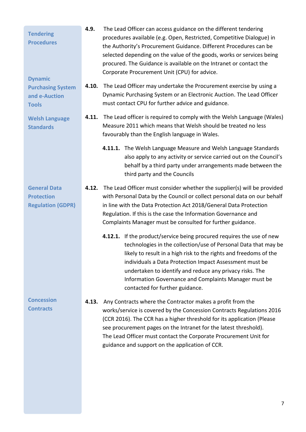| <b>Tendering</b><br><b>Procedures</b><br><b>Dynamic</b>              | 4.9.  | The Lead Officer can access guidance on the different tendering<br>procedures available (e.g. Open, Restricted, Competitive Dialogue) in<br>the Authority's Procurement Guidance. Different Procedures can be<br>selected depending on the value of the goods, works or services being<br>procured. The Guidance is available on the Intranet or contact the<br>Corporate Procurement Unit (CPU) for advice.                     |
|----------------------------------------------------------------------|-------|----------------------------------------------------------------------------------------------------------------------------------------------------------------------------------------------------------------------------------------------------------------------------------------------------------------------------------------------------------------------------------------------------------------------------------|
| <b>Purchasing System</b><br>and e-Auction<br><b>Tools</b>            | 4.10. | The Lead Officer may undertake the Procurement exercise by using a<br>Dynamic Purchasing System or an Electronic Auction. The Lead Officer<br>must contact CPU for further advice and guidance.                                                                                                                                                                                                                                  |
| <b>Welsh Language</b><br><b>Standards</b>                            | 4.11. | The Lead officer is required to comply with the Welsh Language (Wales)<br>Measure 2011 which means that Welsh should be treated no less<br>favourably than the English language in Wales.                                                                                                                                                                                                                                        |
|                                                                      |       | 4.11.1. The Welsh Language Measure and Welsh Language Standards<br>also apply to any activity or service carried out on the Council's<br>behalf by a third party under arrangements made between the<br>third party and the Councils                                                                                                                                                                                             |
| <b>General Data</b><br><b>Protection</b><br><b>Regulation (GDPR)</b> |       | 4.12. The Lead Officer must consider whether the supplier(s) will be provided<br>with Personal Data by the Council or collect personal data on our behalf<br>in line with the Data Protection Act 2018/General Data Protection<br>Regulation. If this is the case the Information Governance and<br>Complaints Manager must be consulted for further guidance.                                                                   |
|                                                                      |       | 4.12.1. If the product/service being procured requires the use of new<br>technologies in the collection/use of Personal Data that may be<br>likely to result in a high risk to the rights and freedoms of the<br>individuals a Data Protection Impact Assessment must be<br>undertaken to identify and reduce any privacy risks. The<br>Information Governance and Complaints Manager must be<br>contacted for further guidance. |
| <b>Concession</b><br><b>Contracts</b>                                | 4.13. | Any Contracts where the Contractor makes a profit from the<br>works/service is covered by the Concession Contracts Regulations 2016<br>(CCR 2016). The CCR has a higher threshold for its application (Please<br>see procurement pages on the Intranet for the latest threshold).<br>The Lead Officer must contact the Corporate Procurement Unit for<br>guidance and support on the application of CCR.                         |
|                                                                      |       |                                                                                                                                                                                                                                                                                                                                                                                                                                  |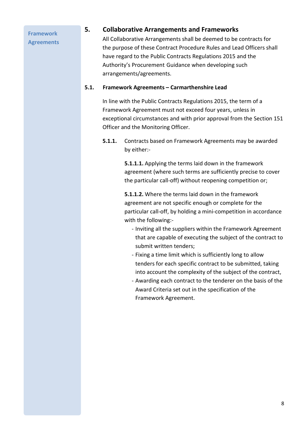## **Framework Agreements**

### <span id="page-7-0"></span>**5. Collaborative Arrangements and Frameworks**

All Collaborative Arrangements shall be deemed to be contracts for the purpose of these Contract Procedure Rules and Lead Officers shall have regard to the Public Contracts Regulations 2015 and the Authority's Procurement Guidance when developing such arrangements/agreements.

#### **5.1. Framework Agreements – Carmarthenshire Lead**

In line with the Public Contracts Regulations 2015, the term of a Framework Agreement must not exceed four years, unless in exceptional circumstances and with prior approval from the Section 151 Officer and the Monitoring Officer.

**5.1.1.** Contracts based on Framework Agreements may be awarded by either:-

> **5.1.1.1.** Applying the terms laid down in the framework agreement (where such terms are sufficiently precise to cover the particular call-off) without reopening competition or;

**5.1.1.2.** Where the terms laid down in the framework agreement are not specific enough or complete for the particular call-off, by holding a mini-competition in accordance with the following:-

- Inviting all the suppliers within the Framework Agreement that are capable of executing the subject of the contract to submit written tenders;
- Fixing a time limit which is sufficiently long to allow tenders for each specific contract to be submitted, taking into account the complexity of the subject of the contract,
- Awarding each contract to the tenderer on the basis of the Award Criteria set out in the specification of the Framework Agreement.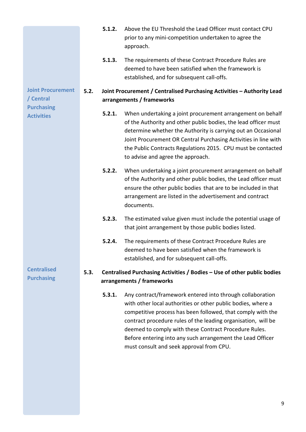|                                         |      | 5.1.2. | Above the EU Threshold the Lead Officer must contact CPU<br>prior to any mini-competition undertaken to agree the<br>approach.                                                                                                                                                                                                                                                                                               |
|-----------------------------------------|------|--------|------------------------------------------------------------------------------------------------------------------------------------------------------------------------------------------------------------------------------------------------------------------------------------------------------------------------------------------------------------------------------------------------------------------------------|
|                                         |      | 5.1.3. | The requirements of these Contract Procedure Rules are<br>deemed to have been satisfied when the framework is<br>established, and for subsequent call-offs.                                                                                                                                                                                                                                                                  |
| <b>Joint Procurement</b><br>/ Central   | 5.2. |        | Joint Procurement / Centralised Purchasing Activities - Authority Lead<br>arrangements / frameworks                                                                                                                                                                                                                                                                                                                          |
| <b>Purchasing</b><br><b>Activities</b>  |      | 5.2.1. | When undertaking a joint procurement arrangement on behalf<br>of the Authority and other public bodies, the lead officer must<br>determine whether the Authority is carrying out an Occasional<br>Joint Procurement OR Central Purchasing Activities in line with<br>the Public Contracts Regulations 2015. CPU must be contacted<br>to advise and agree the approach.                                                       |
|                                         |      | 5.2.2. | When undertaking a joint procurement arrangement on behalf<br>of the Authority and other public bodies, the Lead officer must<br>ensure the other public bodies that are to be included in that<br>arrangement are listed in the advertisement and contract<br>documents.                                                                                                                                                    |
|                                         |      | 5.2.3. | The estimated value given must include the potential usage of<br>that joint arrangement by those public bodies listed.                                                                                                                                                                                                                                                                                                       |
|                                         |      | 5.2.4. | The requirements of these Contract Procedure Rules are<br>deemed to have been satisfied when the framework is<br>established, and for subsequent call-offs.                                                                                                                                                                                                                                                                  |
| <b>Centralised</b><br><b>Purchasing</b> | 5.3. |        | Centralised Purchasing Activities / Bodies - Use of other public bodies<br>arrangements / frameworks                                                                                                                                                                                                                                                                                                                         |
|                                         |      | 5.3.1. | Any contract/framework entered into through collaboration<br>with other local authorities or other public bodies, where a<br>competitive process has been followed, that comply with the<br>contract procedure rules of the leading organisation, will be<br>deemed to comply with these Contract Procedure Rules.<br>Before entering into any such arrangement the Lead Officer<br>must consult and seek approval from CPU. |
|                                         |      |        |                                                                                                                                                                                                                                                                                                                                                                                                                              |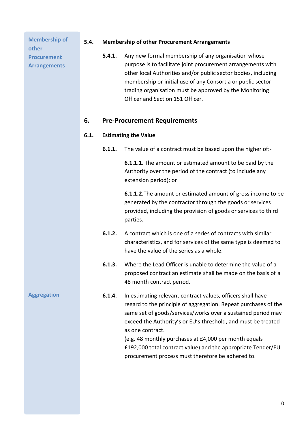**Membership of other Procurement Arrangements**

#### **5.4. Membership of other Procurement Arrangements**

**5.4.1.** Any new formal membership of any organisation whose purpose is to facilitate joint procurement arrangements with other local Authorities and/or public sector bodies, including membership or initial use of any Consortia or public sector trading organisation must be approved by the Monitoring Officer and Section 151 Officer.

## <span id="page-9-0"></span>**6. Pre-Procurement Requirements**

#### **6.1. Estimating the Value**

**6.1.1.** The value of a contract must be based upon the higher of:-

**6.1.1.1.** The amount or estimated amount to be paid by the Authority over the period of the contract (to include any extension period); or

**6.1.1.2.**The amount or estimated amount of gross income to be generated by the contractor through the goods or services provided, including the provision of goods or services to third parties.

- **6.1.2.** A contract which is one of a series of contracts with similar characteristics, and for services of the same type is deemed to have the value of the series as a whole.
- **6.1.3.** Where the Lead Officer is unable to determine the value of a proposed contract an estimate shall be made on the basis of a 48 month contract period.

**Aggregation**

**6.1.4.** In estimating relevant contract values, officers shall have regard to the principle of aggregation. Repeat purchases of the same set of goods/services/works over a sustained period may exceed the Authority's or EU's threshold, and must be treated as one contract.

> (e.g. 48 monthly purchases at £4,000 per month equals £192,000 total contract value) and the appropriate Tender/EU procurement process must therefore be adhered to.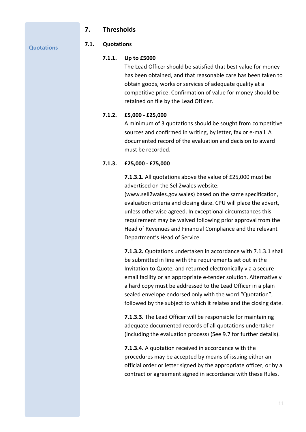## **7. Thresholds**

**Quotations**

#### <span id="page-10-0"></span>**7.1. Quotations**

#### **7.1.1. Up to £5000**

The Lead Officer should be satisfied that best value for money has been obtained, and that reasonable care has been taken to obtain goods, works or services of adequate quality at a competitive price. Confirmation of value for money should be retained on file by the Lead Officer.

#### **7.1.2. £5,000 - £25,000**

A minimum of 3 quotations should be sought from competitive sources and confirmed in writing, by letter, fax or e-mail. A documented record of the evaluation and decision to award must be recorded.

#### **7.1.3. £25,000 - £75,000**

**7.1.3.1.** All quotations above the value of £25,000 must be advertised on the Sell2wales website;

[\(www.sell2wales.gov.w](http://www.sell2wales.gov./)ales) based on the same specification, evaluation criteria and closing date. CPU will place the advert, unless otherwise agreed. In exceptional circumstances this requirement may be waived following prior approval from the Head of Revenues and Financial Compliance and the relevant Department's Head of Service.

**7.1.3.2.** Quotations undertaken in accordance with 7.1.3.1 shall be submitted in line with the requirements set out in the Invitation to Quote, and returned electronically via a secure email facility or an appropriate e-tender solution. Alternatively a hard copy must be addressed to the Lead Officer in a plain sealed envelope endorsed only with the word "Quotation", followed by the subject to which it relates and the closing date.

**7.1.3.3.** The Lead Officer will be responsible for maintaining adequate documented records of all quotations undertaken (including the evaluation process) (See 9.7 for further details).

**7.1.3.4.** A quotation received in accordance with the procedures may be accepted by means of issuing either an official order or letter signed by the appropriate officer, or by a contract or agreement signed in accordance with these Rules.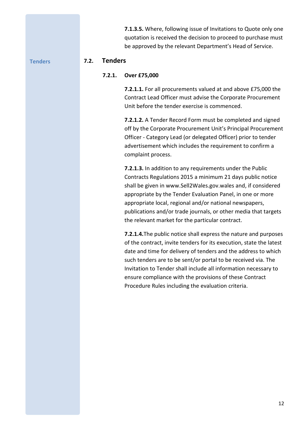**7.1.3.5.** Where, following issue of Invitations to Quote only one quotation is received the decision to proceed to purchase must be approved by the relevant Department's Head of Service.

**Tenders**

#### **7.2. Tenders**

#### **7.2.1. Over £75,000**

**7.2.1.1.** For all procurements valued at and above £75,000 the Contract Lead Officer must advise the Corporate Procurement Unit before the tender exercise is commenced.

**7.2.1.2.** A Tender Record Form must be completed and signed off by the Corporate Procurement Unit's Principal Procurement Officer - Category Lead (or delegated Officer) prior to tender advertisement which includes the requirement to confirm a complaint process.

**7.2.1.3.** In addition to any requirements under the Public Contracts Regulations 2015 a minimum 21 days public notice shall be given i[n www.Sell2Wales.gov.wales](http://www.sell2wales.gov.wales/) and, if considered appropriate by the Tender Evaluation Panel, in one or more appropriate local, regional and/or national newspapers, publications and/or trade journals, or other media that targets the relevant market for the particular contract.

**7.2.1.4.**The public notice shall express the nature and purposes of the contract, invite tenders for its execution, state the latest date and time for delivery of tenders and the address to which such tenders are to be sent/or portal to be received via. The Invitation to Tender shall include all information necessary to ensure compliance with the provisions of these Contract Procedure Rules including the evaluation criteria.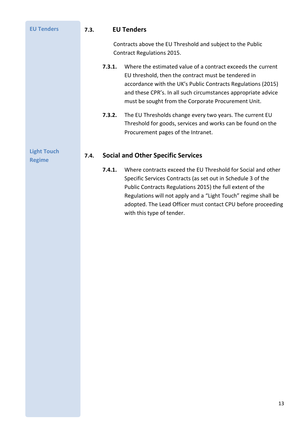| <b>EU Tenders</b>                   | 7.3. | <b>EU Tenders</b> |                                                                                                                                                                                                                                                                                                                                                          |
|-------------------------------------|------|-------------------|----------------------------------------------------------------------------------------------------------------------------------------------------------------------------------------------------------------------------------------------------------------------------------------------------------------------------------------------------------|
|                                     |      |                   | Contracts above the EU Threshold and subject to the Public<br><b>Contract Regulations 2015.</b>                                                                                                                                                                                                                                                          |
|                                     |      | 7.3.1.            | Where the estimated value of a contract exceeds the current<br>EU threshold, then the contract must be tendered in<br>accordance with the UK's Public Contracts Regulations (2015)<br>and these CPR's. In all such circumstances appropriate advice<br>must be sought from the Corporate Procurement Unit.                                               |
|                                     |      | 7.3.2.            | The EU Thresholds change every two years. The current EU<br>Threshold for goods, services and works can be found on the<br>Procurement pages of the Intranet.                                                                                                                                                                                            |
| <b>Light Touch</b><br><b>Regime</b> | 7.4. |                   | <b>Social and Other Specific Services</b>                                                                                                                                                                                                                                                                                                                |
|                                     |      | 7.4.1.            | Where contracts exceed the EU Threshold for Social and other<br>Specific Services Contracts (as set out in Schedule 3 of the<br>Public Contracts Regulations 2015) the full extent of the<br>Regulations will not apply and a "Light Touch" regime shall be<br>adopted. The Lead Officer must contact CPU before proceeding<br>with this type of tender. |
|                                     |      |                   |                                                                                                                                                                                                                                                                                                                                                          |
|                                     |      |                   |                                                                                                                                                                                                                                                                                                                                                          |
|                                     |      |                   |                                                                                                                                                                                                                                                                                                                                                          |
|                                     |      |                   |                                                                                                                                                                                                                                                                                                                                                          |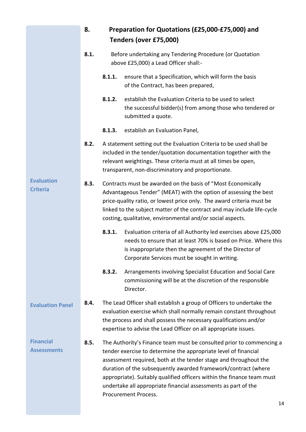<span id="page-13-0"></span>

|                                        | 8.   |        | Preparation for Quotations (£25,000-£75,000) and<br>Tenders (over £75,000)                                                                                                                                                                                                                                                                                                                                                                              |
|----------------------------------------|------|--------|---------------------------------------------------------------------------------------------------------------------------------------------------------------------------------------------------------------------------------------------------------------------------------------------------------------------------------------------------------------------------------------------------------------------------------------------------------|
|                                        | 8.1. |        | Before undertaking any Tendering Procedure (or Quotation<br>above £25,000) a Lead Officer shall:-                                                                                                                                                                                                                                                                                                                                                       |
|                                        |      | 8.1.1. | ensure that a Specification, which will form the basis<br>of the Contract, has been prepared,                                                                                                                                                                                                                                                                                                                                                           |
|                                        |      | 8.1.2. | establish the Evaluation Criteria to be used to select<br>the successful bidder(s) from among those who tendered or<br>submitted a quote.                                                                                                                                                                                                                                                                                                               |
|                                        |      | 8.1.3. | establish an Evaluation Panel,                                                                                                                                                                                                                                                                                                                                                                                                                          |
|                                        | 8.2. |        | A statement setting out the Evaluation Criteria to be used shall be<br>included in the tender/quotation documentation together with the<br>relevant weightings. These criteria must at all times be open,<br>transparent, non-discriminatory and proportionate.                                                                                                                                                                                         |
| <b>Evaluation</b><br><b>Criteria</b>   | 8.3. |        | Contracts must be awarded on the basis of "Most Economically<br>Advantageous Tender" (MEAT) with the option of assessing the best<br>price-quality ratio, or lowest price only. The award criteria must be<br>linked to the subject matter of the contract and may include life-cycle<br>costing, qualitative, environmental and/or social aspects.                                                                                                     |
|                                        |      | 8.3.1. | Evaluation criteria of all Authority led exercises above £25,000<br>needs to ensure that at least 70% is based on Price. Where this<br>is inappropriate then the agreement of the Director of<br>Corporate Services must be sought in writing.                                                                                                                                                                                                          |
|                                        |      | 8.3.2. | Arrangements involving Specialist Education and Social Care<br>commissioning will be at the discretion of the responsible<br>Director.                                                                                                                                                                                                                                                                                                                  |
| <b>Evaluation Panel</b>                | 8.4. |        | The Lead Officer shall establish a group of Officers to undertake the<br>evaluation exercise which shall normally remain constant throughout<br>the process and shall possess the necessary qualifications and/or<br>expertise to advise the Lead Officer on all appropriate issues.                                                                                                                                                                    |
| <b>Financial</b><br><b>Assessments</b> | 8.5. |        | The Authority's Finance team must be consulted prior to commencing a<br>tender exercise to determine the appropriate level of financial<br>assessment required, both at the tender stage and throughout the<br>duration of the subsequently awarded framework/contract (where<br>appropriate). Suitably qualified officers within the finance team must<br>undertake all appropriate financial assessments as part of the<br>Procurement Process.<br>14 |
|                                        |      |        |                                                                                                                                                                                                                                                                                                                                                                                                                                                         |

14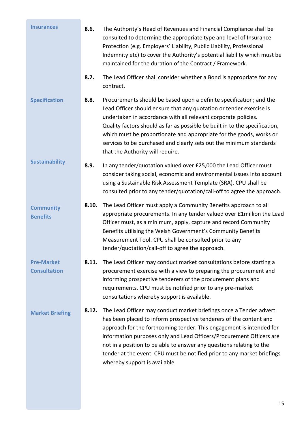| <b>Insurances</b>                        | 8.6.  | The Authority's Head of Revenues and Financial Compliance shall be<br>consulted to determine the appropriate type and level of Insurance<br>Protection (e.g. Employers' Liability, Public Liability, Professional<br>Indemnity etc) to cover the Authority's potential liability which must be<br>maintained for the duration of the Contract / Framework.                                                                                                                    |
|------------------------------------------|-------|-------------------------------------------------------------------------------------------------------------------------------------------------------------------------------------------------------------------------------------------------------------------------------------------------------------------------------------------------------------------------------------------------------------------------------------------------------------------------------|
|                                          | 8.7.  | The Lead Officer shall consider whether a Bond is appropriate for any<br>contract.                                                                                                                                                                                                                                                                                                                                                                                            |
| <b>Specification</b>                     | 8.8.  | Procurements should be based upon a definite specification; and the<br>Lead Officer should ensure that any quotation or tender exercise is<br>undertaken in accordance with all relevant corporate policies.<br>Quality factors should as far as possible be built in to the specification,<br>which must be proportionate and appropriate for the goods, works or<br>services to be purchased and clearly sets out the minimum standards<br>that the Authority will require. |
| <b>Sustainability</b>                    | 8.9.  | In any tender/quotation valued over £25,000 the Lead Officer must<br>consider taking social, economic and environmental issues into account<br>using a Sustainable Risk Assessment Template (SRA). CPU shall be<br>consulted prior to any tender/quotation/call-off to agree the approach.                                                                                                                                                                                    |
| <b>Community</b><br><b>Benefits</b>      | 8.10. | The Lead Officer must apply a Community Benefits approach to all<br>appropriate procurements. In any tender valued over £1 million the Lead<br>Officer must, as a minimum, apply, capture and record Community<br>Benefits utilising the Welsh Government's Community Benefits<br>Measurement Tool. CPU shall be consulted prior to any<br>tender/quotation/call-off to agree the approach.                                                                                   |
| <b>Pre-Market</b><br><b>Consultation</b> | 8.11. | The Lead Officer may conduct market consultations before starting a<br>procurement exercise with a view to preparing the procurement and<br>informing prospective tenderers of the procurement plans and<br>requirements. CPU must be notified prior to any pre-market<br>consultations whereby support is available.                                                                                                                                                         |
| <b>Market Briefing</b>                   | 8.12. | The Lead Officer may conduct market briefings once a Tender advert<br>has been placed to inform prospective tenderers of the content and<br>approach for the forthcoming tender. This engagement is intended for<br>information purposes only and Lead Officers/Procurement Officers are<br>not in a position to be able to answer any questions relating to the<br>tender at the event. CPU must be notified prior to any market briefings<br>whereby support is available.  |
|                                          |       | 15                                                                                                                                                                                                                                                                                                                                                                                                                                                                            |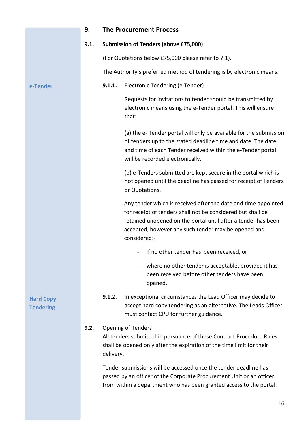<span id="page-15-0"></span>

|                                      | 9.   |                                              | <b>The Procurement Process</b>                                                                                                                                                                                                                                        |
|--------------------------------------|------|----------------------------------------------|-----------------------------------------------------------------------------------------------------------------------------------------------------------------------------------------------------------------------------------------------------------------------|
|                                      | 9.1. | <b>Submission of Tenders (above £75,000)</b> |                                                                                                                                                                                                                                                                       |
|                                      |      |                                              | (For Quotations below £75,000 please refer to 7.1).                                                                                                                                                                                                                   |
|                                      |      |                                              | The Authority's preferred method of tendering is by electronic means.                                                                                                                                                                                                 |
| e-Tender                             |      | 9.1.1.                                       | Electronic Tendering (e-Tender)                                                                                                                                                                                                                                       |
|                                      |      |                                              | Requests for invitations to tender should be transmitted by<br>electronic means using the e-Tender portal. This will ensure<br>that:                                                                                                                                  |
|                                      |      |                                              | (a) the e- Tender portal will only be available for the submission<br>of tenders up to the stated deadline time and date. The date<br>and time of each Tender received within the e-Tender portal<br>will be recorded electronically.                                 |
|                                      |      |                                              | (b) e-Tenders submitted are kept secure in the portal which is<br>not opened until the deadline has passed for receipt of Tenders<br>or Quotations.                                                                                                                   |
|                                      |      |                                              | Any tender which is received after the date and time appointed<br>for receipt of tenders shall not be considered but shall be<br>retained unopened on the portal until after a tender has been<br>accepted, however any such tender may be opened and<br>considered:- |
|                                      |      |                                              | if no other tender has been received, or                                                                                                                                                                                                                              |
|                                      |      |                                              | where no other tender is acceptable, provided it has<br>been received before other tenders have been<br>opened.                                                                                                                                                       |
| <b>Hard Copy</b><br><b>Tendering</b> |      | 9.1.2.                                       | In exceptional circumstances the Lead Officer may decide to<br>accept hard copy tendering as an alternative. The Leads Officer<br>must contact CPU for further guidance.                                                                                              |
|                                      | 9.2. | delivery.                                    | <b>Opening of Tenders</b><br>All tenders submitted in pursuance of these Contract Procedure Rules<br>shall be opened only after the expiration of the time limit for their                                                                                            |
|                                      |      |                                              | Tender submissions will be accessed once the tender deadline has<br>passed by an officer of the Corporate Procurement Unit or an officer<br>from within a department who has been granted access to the portal.                                                       |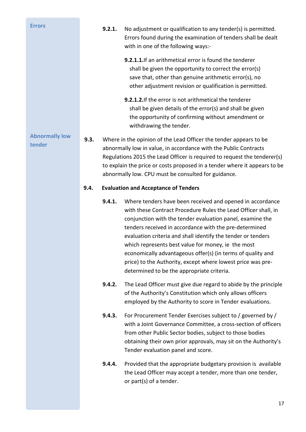| <b>Errors</b>                   |      | 9.2.1. | No adjustment or qualification to any tender(s) is permitted.<br>Errors found during the examination of tenders shall be dealt<br>with in one of the following ways:-                                                                                                                                                                                                                                                                                                                                                                                |
|---------------------------------|------|--------|------------------------------------------------------------------------------------------------------------------------------------------------------------------------------------------------------------------------------------------------------------------------------------------------------------------------------------------------------------------------------------------------------------------------------------------------------------------------------------------------------------------------------------------------------|
|                                 |      |        | 9.2.1.1. If an arithmetical error is found the tenderer<br>shall be given the opportunity to correct the error(s)<br>save that, other than genuine arithmetic error(s), no<br>other adjustment revision or qualification is permitted.                                                                                                                                                                                                                                                                                                               |
|                                 |      |        | 9.2.1.2. If the error is not arithmetical the tenderer<br>shall be given details of the error(s) and shall be given<br>the opportunity of confirming without amendment or<br>withdrawing the tender.                                                                                                                                                                                                                                                                                                                                                 |
| <b>Abnormally low</b><br>tender | 9.3. |        | Where in the opinion of the Lead Officer the tender appears to be<br>abnormally low in value, in accordance with the Public Contracts<br>Regulations 2015 the Lead Officer is required to request the tenderer(s)<br>to explain the price or costs proposed in a tender where it appears to be<br>abnormally low. CPU must be consulted for guidance.                                                                                                                                                                                                |
|                                 | 9.4. |        | <b>Evaluation and Acceptance of Tenders</b>                                                                                                                                                                                                                                                                                                                                                                                                                                                                                                          |
|                                 |      | 9.4.1. | Where tenders have been received and opened in accordance<br>with these Contract Procedure Rules the Lead Officer shall, in<br>conjunction with the tender evaluation panel, examine the<br>tenders received in accordance with the pre-determined<br>evaluation criteria and shall identify the tender or tenders<br>which represents best value for money, ie the most<br>economically advantageous offer(s) (in terms of quality and<br>price) to the Authority, except where lowest price was pre-<br>determined to be the appropriate criteria. |
|                                 |      | 9.4.2. | The Lead Officer must give due regard to abide by the principle<br>of the Authority's Constitution which only allows officers<br>employed by the Authority to score in Tender evaluations.                                                                                                                                                                                                                                                                                                                                                           |
|                                 |      | 9.4.3. | For Procurement Tender Exercises subject to / governed by /<br>with a Joint Governance Committee, a cross-section of officers<br>from other Public Sector bodies, subject to those bodies<br>obtaining their own prior approvals, may sit on the Authority's<br>Tender evaluation panel and score.                                                                                                                                                                                                                                                   |
|                                 |      | 9.4.4. | Provided that the appropriate budgetary provision is available<br>the Lead Officer may accept a tender, more than one tender,<br>or part(s) of a tender.                                                                                                                                                                                                                                                                                                                                                                                             |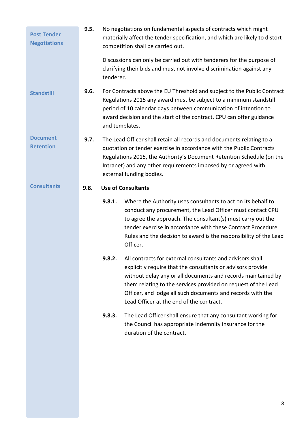<span id="page-17-0"></span>

| <b>Post Tender</b><br><b>Negotiations</b> | 9.5. | No negotiations on fundamental aspects of contracts which might<br>materially affect the tender specification, and which are likely to distort<br>competition shall be carried out. |                                                                                                                                                                                                                                                                                                                                                                     |
|-------------------------------------------|------|-------------------------------------------------------------------------------------------------------------------------------------------------------------------------------------|---------------------------------------------------------------------------------------------------------------------------------------------------------------------------------------------------------------------------------------------------------------------------------------------------------------------------------------------------------------------|
|                                           |      | tenderer.                                                                                                                                                                           | Discussions can only be carried out with tenderers for the purpose of<br>clarifying their bids and must not involve discrimination against any                                                                                                                                                                                                                      |
| <b>Standstill</b>                         | 9.6. |                                                                                                                                                                                     | For Contracts above the EU Threshold and subject to the Public Contract<br>Regulations 2015 any award must be subject to a minimum standstill<br>period of 10 calendar days between communication of intention to<br>award decision and the start of the contract. CPU can offer guidance<br>and templates.                                                         |
| <b>Document</b><br><b>Retention</b>       | 9.7. |                                                                                                                                                                                     | The Lead Officer shall retain all records and documents relating to a<br>quotation or tender exercise in accordance with the Public Contracts<br>Regulations 2015, the Authority's Document Retention Schedule (on the<br>Intranet) and any other requirements imposed by or agreed with<br>external funding bodies.                                                |
| <b>Consultants</b>                        | 9.8. |                                                                                                                                                                                     | <b>Use of Consultants</b>                                                                                                                                                                                                                                                                                                                                           |
|                                           |      | 9.8.1.                                                                                                                                                                              | Where the Authority uses consultants to act on its behalf to<br>conduct any procurement, the Lead Officer must contact CPU<br>to agree the approach. The consultant(s) must carry out the<br>tender exercise in accordance with these Contract Procedure<br>Rules and the decision to award is the responsibility of the Lead<br>Officer.                           |
|                                           |      | 9.8.2.                                                                                                                                                                              | All contracts for external consultants and advisors shall<br>explicitly require that the consultants or advisors provide<br>without delay any or all documents and records maintained by<br>them relating to the services provided on request of the Lead<br>Officer, and lodge all such documents and records with the<br>Lead Officer at the end of the contract. |
|                                           |      | 9.8.3.                                                                                                                                                                              | The Lead Officer shall ensure that any consultant working for<br>the Council has appropriate indemnity insurance for the<br>duration of the contract.                                                                                                                                                                                                               |
|                                           |      |                                                                                                                                                                                     |                                                                                                                                                                                                                                                                                                                                                                     |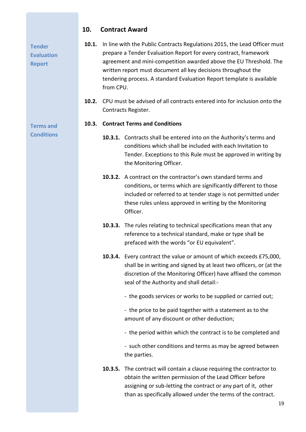|                                                     | 10.   |           | <b>Contract Award</b>                                                                                                                                                                                                                                                                                                                                         |
|-----------------------------------------------------|-------|-----------|---------------------------------------------------------------------------------------------------------------------------------------------------------------------------------------------------------------------------------------------------------------------------------------------------------------------------------------------------------------|
| <b>Tender</b><br><b>Evaluation</b><br><b>Report</b> | 10.1. | from CPU. | In line with the Public Contracts Regulations 2015, the Lead Officer must<br>prepare a Tender Evaluation Report for every contract, framework<br>agreement and mini-competition awarded above the EU Threshold. The<br>written report must document all key decisions throughout the<br>tendering process. A standard Evaluation Report template is available |
|                                                     | 10.2. |           | CPU must be advised of all contracts entered into for inclusion onto the<br>Contracts Register.                                                                                                                                                                                                                                                               |
| <b>Terms and</b>                                    | 10.3. |           | <b>Contract Terms and Conditions</b>                                                                                                                                                                                                                                                                                                                          |
| <b>Conditions</b>                                   |       |           | 10.3.1. Contracts shall be entered into on the Authority's terms and<br>conditions which shall be included with each Invitation to<br>Tender. Exceptions to this Rule must be approved in writing by<br>the Monitoring Officer.                                                                                                                               |
|                                                     |       |           | 10.3.2. A contract on the contractor's own standard terms and<br>conditions, or terms which are significantly different to those<br>included or referred to at tender stage is not permitted under<br>these rules unless approved in writing by the Monitoring<br>Officer.                                                                                    |
|                                                     |       | 10.3.3.   | The rules relating to technical specifications mean that any<br>reference to a technical standard, make or type shall be<br>prefaced with the words "or EU equivalent".                                                                                                                                                                                       |
|                                                     |       |           | 10.3.4. Every contract the value or amount of which exceeds £75,000,<br>shall be in writing and signed by at least two officers, or (at the<br>discretion of the Monitoring Officer) have affixed the common<br>seal of the Authority and shall detail:-                                                                                                      |
|                                                     |       |           | - the goods services or works to be supplied or carried out;                                                                                                                                                                                                                                                                                                  |
|                                                     |       |           | - the price to be paid together with a statement as to the<br>amount of any discount or other deduction;                                                                                                                                                                                                                                                      |
|                                                     |       |           | - the period within which the contract is to be completed and                                                                                                                                                                                                                                                                                                 |
|                                                     |       |           | - such other conditions and terms as may be agreed between<br>the parties.                                                                                                                                                                                                                                                                                    |
|                                                     |       |           | 10.3.5. The contract will contain a clause requiring the contractor to<br>obtain the written permission of the Lead Officer before<br>assigning or sub-letting the contract or any part of it, other<br>than as specifically allowed under the terms of the contract.<br>10                                                                                   |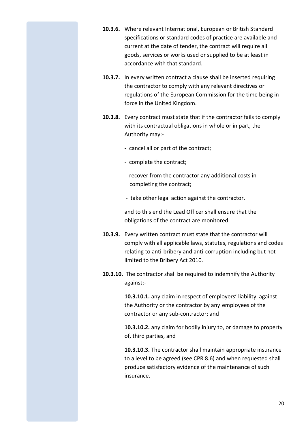- **10.3.6.** Where relevant International, European or British Standard specifications or standard codes of practice are available and current at the date of tender, the contract will require all goods, services or works used or supplied to be at least in accordance with that standard.
- **10.3.7.** In every written contract a clause shall be inserted requiring the contractor to comply with any relevant directives or regulations of the European Commission for the time being in force in the United Kingdom.
- **10.3.8.** Every contract must state that if the contractor fails to comply with its contractual obligations in whole or in part, the Authority may:-
	- cancel all or part of the contract;
	- complete the contract;
	- recover from the contractor any additional costs in completing the contract;
	- take other legal action against the contractor.

and to this end the Lead Officer shall ensure that the obligations of the contract are monitored.

- **10.3.9.** Every written contract must state that the contractor will comply with all applicable laws, statutes, regulations and codes relating to anti-bribery and anti-corruption including but not limited to the Bribery Act 2010.
- **10.3.10.** The contractor shall be required to indemnify the Authority against:-

**10.3.10.1.** any claim in respect of employers' liability against the Authority or the contractor by any employees of the contractor or any sub-contractor; and

**10.3.10.2.** any claim for bodily injury to, or damage to property of, third parties, and

**10.3.10.3.** The contractor shall maintain appropriate insurance to a level to be agreed (see CPR 8.6) and when requested shall produce satisfactory evidence of the maintenance of such insurance.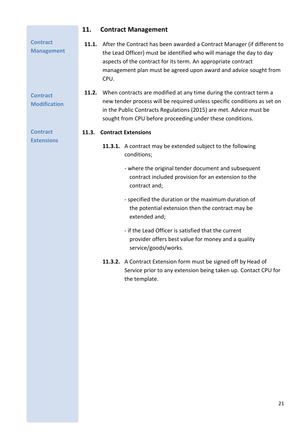<span id="page-20-0"></span>

|                                        | 11.   | <b>Contract Management</b>                                                                                                                                                                                                                                                                  |
|----------------------------------------|-------|---------------------------------------------------------------------------------------------------------------------------------------------------------------------------------------------------------------------------------------------------------------------------------------------|
| <b>Contract</b><br><b>Management</b>   | 11.1. | After the Contract has been awarded a Contract Manager (if different to<br>the Lead Officer) must be identified who will manage the day to day<br>aspects of the contract for its term. An appropriate contract<br>management plan must be agreed upon award and advice sought from<br>CPU. |
| <b>Contract</b><br><b>Modification</b> | 11.2. | When contracts are modified at any time during the contract term a<br>new tender process will be required unless specific conditions as set on<br>in the Public Contracts Regulations (2015) are met. Advice must be<br>sought from CPU before proceeding under these conditions.           |
| <b>Contract</b>                        | 11.3. | <b>Contract Extensions</b>                                                                                                                                                                                                                                                                  |
| <b>Extensions</b>                      |       | 11.3.1. A contract may be extended subject to the following<br>conditions;                                                                                                                                                                                                                  |
|                                        |       | - where the original tender document and subsequent<br>contract included provision for an extension to the<br>contract and;                                                                                                                                                                 |
|                                        |       | - specified the duration or the maximum duration of<br>the potential extension then the contract may be<br>extended and;                                                                                                                                                                    |
|                                        |       | - if the Lead Officer is satisfied that the current<br>provider offers best value for money and a quality<br>service/goods/works.                                                                                                                                                           |
|                                        |       | 11.3.2. A Contract Extension form must be signed off by Head of<br>Service prior to any extension being taken up. Contact CPU for<br>the template.                                                                                                                                          |
|                                        |       |                                                                                                                                                                                                                                                                                             |
|                                        |       |                                                                                                                                                                                                                                                                                             |
|                                        |       |                                                                                                                                                                                                                                                                                             |
|                                        |       |                                                                                                                                                                                                                                                                                             |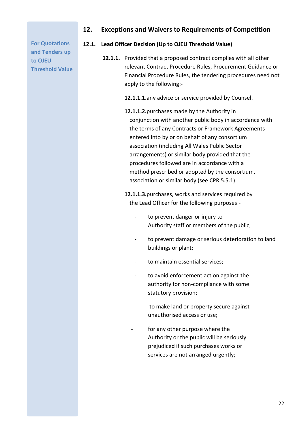**For Quotations and Tenders up to OJEU Threshold Value**

## <span id="page-21-0"></span>**12. Exceptions and Waivers to Requirements of Competition**

#### **12.1. Lead Officer Decision (Up to OJEU Threshold Value)**

**12.1.1.** Provided that a proposed contract complies with all other relevant Contract Procedure Rules, Procurement Guidance or Financial Procedure Rules, the tendering procedures need not apply to the following:-

**12.1.1.1.**any advice or service provided by Counsel.

**12.1.1.2.**purchases made by the Authority in conjunction with another public body in accordance with the terms of any Contracts or Framework Agreements entered into by or on behalf of any consortium association (including All Wales Public Sector arrangements) or similar body provided that the procedures followed are in accordance with a method prescribed or adopted by the consortium, association or similar body (see CPR 5.5.1).

**12.1.1.3.**purchases, works and services required by the Lead Officer for the following purposes:-

- to prevent danger or injury to Authority staff or members of the public;
- to prevent damage or serious deterioration to land buildings or plant;
- to maintain essential services;
- to avoid enforcement action against the authority for non-compliance with some statutory provision;
- to make land or property secure against unauthorised access or use;
- for any other purpose where the Authority or the public will be seriously prejudiced if such purchases works or services are not arranged urgently;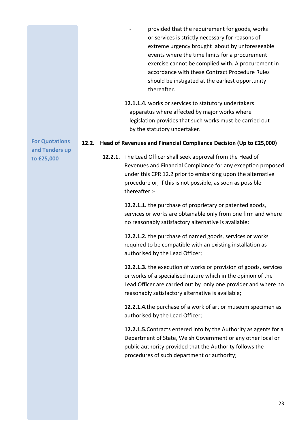- provided that the requirement for goods, works or services is strictly necessary for reasons of extreme urgency brought about by unforeseeable events where the time limits for a procurement exercise cannot be complied with. A procurement in accordance with these Contract Procedure Rules should be instigated at the earliest opportunity thereafter.
- **12.1.1.4.** works or services to statutory undertakers apparatus where affected by major works where legislation provides that such works must be carried out by the statutory undertaker.

#### **12.2. Head of Revenues and Financial Compliance Decision (Up to £25,000)**

**12.2.1.** The Lead Officer shall seek approval from the Head of Revenues and Financial Compliance for any exception proposed under this CPR 12.2 prior to embarking upon the alternative procedure or, if this is not possible, as soon as possible thereafter :-

> **12.2.1.1.** the purchase of proprietary or patented goods, services or works are obtainable only from one firm and where no reasonably satisfactory alternative is available;

**12.2.1.2.** the purchase of named goods, services or works required to be compatible with an existing installation as authorised by the Lead Officer;

**12.2.1.3.** the execution of works or provision of goods, services or works of a specialised nature which in the opinion of the Lead Officer are carried out by only one provider and where no reasonably satisfactory alternative is available;

**12.2.1.4.**the purchase of a work of art or museum specimen as authorised by the Lead Officer;

**12.2.1.5.**Contracts entered into by the Authority as agents for a Department of State, Welsh Government or any other local or public authority provided that the Authority follows the procedures of such department or authority;

**For Quotations and Tenders up to £25,000**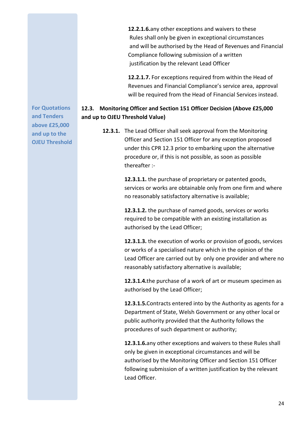**12.2.1.6.**any other exceptions and waivers to these Rules shall only be given in exceptional circumstances and will be authorised by the Head of Revenues and Financial Compliance following submission of a written justification by the relevant Lead Officer

**12.2.1.7.** For exceptions required from within the Head of Revenues and Financial Compliance's service area, approval will be required from the Head of Financial Services instead.

## **12.3. Monitoring Officer and Section 151 Officer Decision (Above £25,000 and up to OJEU Threshold Value)**

**12.3.1.** The Lead Officer shall seek approval from the Monitoring Officer and Section 151 Officer for any exception proposed under this CPR 12.3 prior to embarking upon the alternative procedure or, if this is not possible, as soon as possible thereafter :-

> **12.3.1.1.** the purchase of proprietary or patented goods, services or works are obtainable only from one firm and where no reasonably satisfactory alternative is available;

**12.3.1.2.** the purchase of named goods, services or works required to be compatible with an existing installation as authorised by the Lead Officer;

**12.3.1.3.** the execution of works or provision of goods, services or works of a specialised nature which in the opinion of the Lead Officer are carried out by only one provider and where no reasonably satisfactory alternative is available;

**12.3.1.4.**the purchase of a work of art or museum specimen as authorised by the Lead Officer;

**12.3.1.5.**Contracts entered into by the Authority as agents for a Department of State, Welsh Government or any other local or public authority provided that the Authority follows the procedures of such department or authority;

**12.3.1.6.**any other exceptions and waivers to these Rules shall only be given in exceptional circumstances and will be authorised by the Monitoring Officer and Section 151 Officer following submission of a written justification by the relevant Lead Officer.

**For Quotations and Tenders above £25,000 and up to the OJEU Threshold**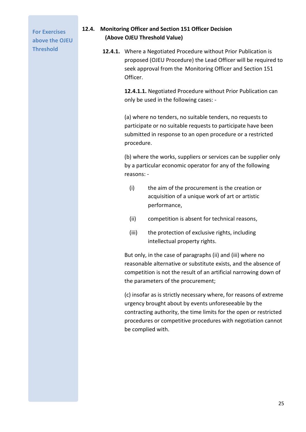**For Exercises above the OJEU Threshold**

## **12.4. Monitoring Officer and Section 151 Officer Decision (Above OJEU Threshold Value)**

**12.4.1.** Where a Negotiated Procedure without Prior Publication is proposed (OJEU Procedure) the Lead Officer will be required to seek approval from the Monitoring Officer and Section 151 Officer.

> **12.4.1.1.** Negotiated Procedure without Prior Publication can only be used in the following cases: -

(a) where no tenders, no suitable tenders, no requests to participate or no suitable requests to participate have been submitted in response to an open procedure or a restricted procedure.

(b) where the works, suppliers or services can be supplier only by a particular economic operator for any of the following reasons: -

- (i) the aim of the procurement is the creation or acquisition of a unique work of art or artistic performance,
- (ii) competition is absent for technical reasons,
- (iii) the protection of exclusive rights, including intellectual property rights.

But only, in the case of paragraphs (ii) and (iii) where no reasonable alternative or substitute exists, and the absence of competition is not the result of an artificial narrowing down of the parameters of the procurement;

(c) insofar as is strictly necessary where, for reasons of extreme urgency brought about by events unforeseeable by the contracting authority, the time limits for the open or restricted procedures or competitive procedures with negotiation cannot be complied with.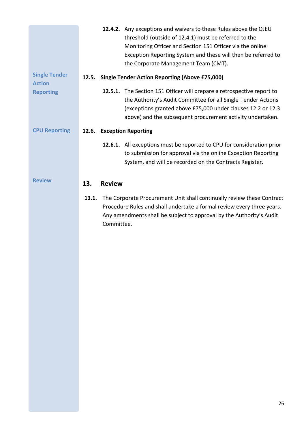<span id="page-25-0"></span>

|                                       |       |               | 12.4.2. Any exceptions and waivers to these Rules above the OJEU<br>threshold (outside of 12.4.1) must be referred to the<br>Monitoring Officer and Section 151 Officer via the online<br>Exception Reporting System and these will then be referred to<br>the Corporate Management Team (CMT). |
|---------------------------------------|-------|---------------|-------------------------------------------------------------------------------------------------------------------------------------------------------------------------------------------------------------------------------------------------------------------------------------------------|
| <b>Single Tender</b><br><b>Action</b> | 12.5. |               | <b>Single Tender Action Reporting (Above £75,000)</b>                                                                                                                                                                                                                                           |
| <b>Reporting</b>                      |       |               | 12.5.1. The Section 151 Officer will prepare a retrospective report to<br>the Authority's Audit Committee for all Single Tender Actions<br>(exceptions granted above £75,000 under clauses 12.2 or 12.3<br>above) and the subsequent procurement activity undertaken.                           |
| <b>CPU Reporting</b>                  | 12.6. |               | <b>Exception Reporting</b>                                                                                                                                                                                                                                                                      |
|                                       |       |               | 12.6.1. All exceptions must be reported to CPU for consideration prior<br>to submission for approval via the online Exception Reporting<br>System, and will be recorded on the Contracts Register.                                                                                              |
| <b>Review</b>                         | 13.   | <b>Review</b> |                                                                                                                                                                                                                                                                                                 |
|                                       | 13.1. | Committee.    | The Corporate Procurement Unit shall continually review these Contract<br>Procedure Rules and shall undertake a formal review every three years.<br>Any amendments shall be subject to approval by the Authority's Audit                                                                        |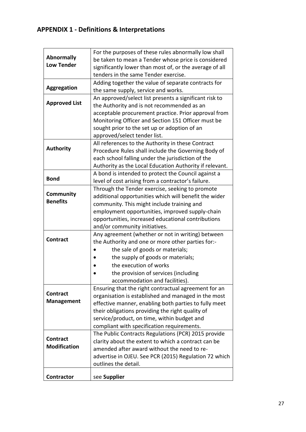## <span id="page-26-0"></span>**APPENDIX 1 - Definitions & Interpretations**

|                                        | For the purposes of these rules abnormally low shall    |
|----------------------------------------|---------------------------------------------------------|
| <b>Abnormally</b><br><b>Low Tender</b> | be taken to mean a Tender whose price is considered     |
|                                        | significantly lower than most of, or the average of all |
|                                        | tenders in the same Tender exercise.                    |
|                                        | Adding together the value of separate contracts for     |
| <b>Aggregation</b>                     | the same supply, service and works.                     |
|                                        | An approved/select list presents a significant risk to  |
| <b>Approved List</b>                   | the Authority and is not recommended as an              |
|                                        | acceptable procurement practice. Prior approval from    |
|                                        | Monitoring Officer and Section 151 Officer must be      |
|                                        | sought prior to the set up or adoption of an            |
|                                        | approved/select tender list.                            |
|                                        | All references to the Authority in these Contract       |
| <b>Authority</b>                       | Procedure Rules shall include the Governing Body of     |
|                                        | each school falling under the jurisdiction of the       |
|                                        | Authority as the Local Education Authority if relevant. |
|                                        | A bond is intended to protect the Council against a     |
| <b>Bond</b>                            | level of cost arising from a contractor's failure.      |
|                                        | Through the Tender exercise, seeking to promote         |
| Community                              | additional opportunities which will benefit the wider   |
| <b>Benefits</b>                        | community. This might include training and              |
|                                        | employment opportunities, improved supply-chain         |
|                                        | opportunities, increased educational contributions      |
|                                        | and/or community initiatives.                           |
|                                        | Any agreement (whether or not in writing) between       |
| <b>Contract</b>                        | the Authority and one or more other parties for:-       |
|                                        | the sale of goods or materials;                         |
|                                        | the supply of goods or materials;                       |
|                                        | the execution of works                                  |
|                                        |                                                         |
|                                        | the provision of services (including                    |
|                                        | accommodation and facilities).                          |
| <b>Contract</b>                        | Ensuring that the right contractual agreement for an    |
| <b>Management</b>                      | organisation is established and managed in the most     |
|                                        | effective manner, enabling both parties to fully meet   |
|                                        | their obligations providing the right quality of        |
|                                        | service/product, on time, within budget and             |
|                                        | compliant with specification requirements.              |
| <b>Contract</b>                        | The Public Contracts Regulations (PCR) 2015 provide     |
| <b>Modification</b>                    | clarity about the extent to which a contract can be     |
|                                        | amended after award without the need to re-             |
|                                        | advertise in OJEU. See PCR (2015) Regulation 72 which   |
|                                        | outlines the detail.                                    |
| <b>Contractor</b>                      | see Supplier                                            |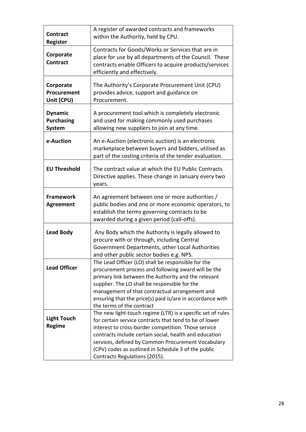| <b>Contract</b><br><b>Register</b>                   | A register of awarded contracts and frameworks<br>within the Authority, held by CPU.                                                                                                                                                                                                                                                                                                 |
|------------------------------------------------------|--------------------------------------------------------------------------------------------------------------------------------------------------------------------------------------------------------------------------------------------------------------------------------------------------------------------------------------------------------------------------------------|
| Corporate<br><b>Contract</b>                         | Contracts for Goods/Works or Services that are in<br>place for use by all departments of the Council. These<br>contracts enable Officers to acquire products/services<br>efficiently and effectively.                                                                                                                                                                                |
| Corporate<br>Procurement<br>Unit (CPU)               | The Authority's Corporate Procurement Unit (CPU)<br>provides advice, support and guidance on<br>Procurement.                                                                                                                                                                                                                                                                         |
| <b>Dynamic</b><br><b>Purchasing</b><br><b>System</b> | A procurement tool which is completely electronic<br>and used for making commonly used purchases<br>allowing new suppliers to join at any time.                                                                                                                                                                                                                                      |
| e-Auction                                            | An e-Auction (electronic auction) is an electronic<br>marketplace between buyers and bidders, utilised as<br>part of the costing criteria of the tender evaluation.                                                                                                                                                                                                                  |
| <b>EU Threshold</b>                                  | The contract value at which the EU Public Contracts<br>Directive applies. These change in January every two<br>years.                                                                                                                                                                                                                                                                |
| <b>Framework</b><br><b>Agreement</b>                 | An agreement between one or more authorities /<br>public bodies and one or more economic operators, to<br>establish the terms governing contracts to be<br>awarded during a given period (call-offs).                                                                                                                                                                                |
| <b>Lead Body</b>                                     | Any Body which the Authority is legally allowed to<br>procure with or through, including Central<br>Government Departments, other Local Authorities<br>and other public sector bodies e.g. NPS.                                                                                                                                                                                      |
| <b>Lead Officer</b>                                  | The Lead Officer (LO) shall be responsible for the<br>procurement process and following award will be the<br>primary link between the Authority and the relevant<br>supplier. The LO shall be responsible for the<br>management of that contractual arrangement and<br>ensuring that the price(s) paid is/are in accordance with<br>the terms of the contract                        |
| <b>Light Touch</b><br><b>Regime</b>                  | The new light-touch regime (LTR) is a specific set of rules<br>for certain service contracts that tend to be of lower<br>interest to cross-border competition. Those service<br>contracts include certain social, health and education<br>services, defined by Common Procurement Vocabulary<br>(CPV) codes as outlined in Schedule 3 of the public<br>Contracts Regulations (2015). |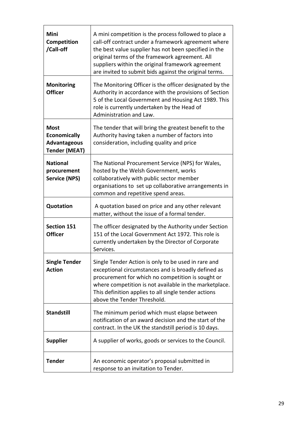| Mini<br><b>Competition</b><br>/Call-off                                    | A mini competition is the process followed to place a<br>call-off contract under a framework agreement where<br>the best value supplier has not been specified in the<br>original terms of the framework agreement. All<br>suppliers within the original framework agreement<br>are invited to submit bids against the original terms. |
|----------------------------------------------------------------------------|----------------------------------------------------------------------------------------------------------------------------------------------------------------------------------------------------------------------------------------------------------------------------------------------------------------------------------------|
| Monitoring<br><b>Officer</b>                                               | The Monitoring Officer is the officer designated by the<br>Authority in accordance with the provisions of Section<br>5 of the Local Government and Housing Act 1989. This<br>role is currently undertaken by the Head of<br>Administration and Law.                                                                                    |
| <b>Most</b><br><b>Economically</b><br>Advantageous<br><b>Tender (MEAT)</b> | The tender that will bring the greatest benefit to the<br>Authority having taken a number of factors into<br>consideration, including quality and price                                                                                                                                                                                |
| <b>National</b><br>procurement<br><b>Service (NPS)</b>                     | The National Procurement Service (NPS) for Wales,<br>hosted by the Welsh Government, works<br>collaboratively with public sector member<br>organisations to set up collaborative arrangements in<br>common and repetitive spend areas.                                                                                                 |
| Quotation                                                                  | A quotation based on price and any other relevant<br>matter, without the issue of a formal tender.                                                                                                                                                                                                                                     |
| <b>Section 151</b><br><b>Officer</b>                                       | The officer designated by the Authority under Section<br>151 of the Local Government Act 1972. This role is<br>currently undertaken by the Director of Corporate<br>Services.                                                                                                                                                          |
| <b>Single Tender</b><br><b>Action</b>                                      | Single Tender Action is only to be used in rare and<br>exceptional circumstances and is broadly defined as<br>procurement for which no competition is sought or<br>where competition is not available in the marketplace.<br>This definition applies to all single tender actions<br>above the Tender Threshold.                       |
| <b>Standstill</b>                                                          | The minimum period which must elapse between<br>notification of an award decision and the start of the<br>contract. In the UK the standstill period is 10 days.                                                                                                                                                                        |
| <b>Supplier</b>                                                            | A supplier of works, goods or services to the Council.                                                                                                                                                                                                                                                                                 |
| <b>Tender</b>                                                              | An economic operator's proposal submitted in<br>response to an invitation to Tender.                                                                                                                                                                                                                                                   |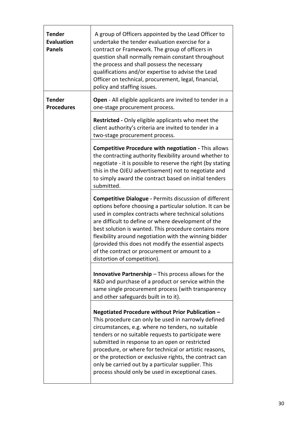| <b>Tender</b><br><b>Evaluation</b><br><b>Panels</b> | A group of Officers appointed by the Lead Officer to<br>undertake the tender evaluation exercise for a<br>contract or Framework. The group of officers in<br>question shall normally remain constant throughout<br>the process and shall possess the necessary<br>qualifications and/or expertise to advise the Lead<br>Officer on technical, procurement, legal, financial,<br>policy and staffing issues.                                                                                           |
|-----------------------------------------------------|-------------------------------------------------------------------------------------------------------------------------------------------------------------------------------------------------------------------------------------------------------------------------------------------------------------------------------------------------------------------------------------------------------------------------------------------------------------------------------------------------------|
| <b>Tender</b><br><b>Procedures</b>                  | Open - All eligible applicants are invited to tender in a<br>one-stage procurement process.                                                                                                                                                                                                                                                                                                                                                                                                           |
|                                                     | <b>Restricted</b> - Only eligible applicants who meet the<br>client authority's criteria are invited to tender in a<br>two-stage procurement process.                                                                                                                                                                                                                                                                                                                                                 |
|                                                     | <b>Competitive Procedure with negotiation - This allows</b><br>the contracting authority flexibility around whether to<br>negotiate - it is possible to reserve the right (by stating<br>this in the OJEU advertisement) not to negotiate and<br>to simply award the contract based on initial tenders<br>submitted.                                                                                                                                                                                  |
|                                                     | <b>Competitive Dialogue - Permits discussion of different</b><br>options before choosing a particular solution. It can be<br>used in complex contracts where technical solutions<br>are difficult to define or where development of the<br>best solution is wanted. This procedure contains more<br>flexibility around negotiation with the winning bidder<br>(provided this does not modify the essential aspects<br>of the contract or procurement or amount to a<br>distortion of competition).    |
|                                                     | <b>Innovative Partnership</b> $-$ This process allows for the<br>R&D and purchase of a product or service within the<br>same single procurement process (with transparency<br>and other safeguards built in to it).                                                                                                                                                                                                                                                                                   |
|                                                     | Negotiated Procedure without Prior Publication -<br>This procedure can only be used in narrowly defined<br>circumstances, e.g. where no tenders, no suitable<br>tenders or no suitable requests to participate were<br>submitted in response to an open or restricted<br>procedure, or where for technical or artistic reasons,<br>or the protection or exclusive rights, the contract can<br>only be carried out by a particular supplier. This<br>process should only be used in exceptional cases. |